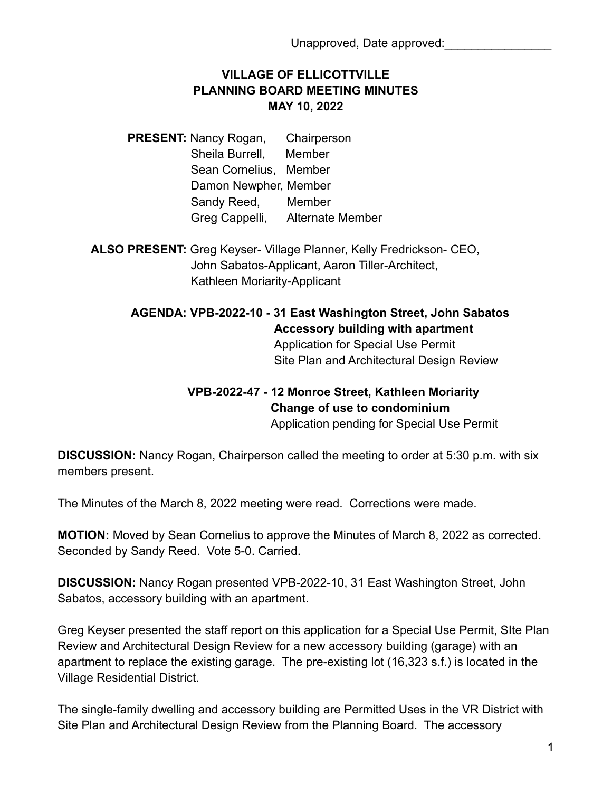## **VILLAGE OF ELLICOTTVILLE PLANNING BOARD MEETING MINUTES MAY 10, 2022**

**PRESENT: Nancy Rogan, Chairperson** Sheila Burrell, Member Sean Cornelius, Member Damon Newpher, Member Sandy Reed, Member Greg Cappelli, Alternate Member

**ALSO PRESENT:** Greg Keyser- Village Planner, Kelly Fredrickson- CEO, John Sabatos-Applicant, Aaron Tiller-Architect, Kathleen Moriarity-Applicant

## **AGENDA: VPB-2022-10 - 31 East Washington Street, John Sabatos Accessory building with apartment**

Application for Special Use Permit Site Plan and Architectural Design Review

## **VPB-2022-47 - 12 Monroe Street, Kathleen Moriarity Change of use to condominium** Application pending for Special Use Permit

**DISCUSSION:** Nancy Rogan, Chairperson called the meeting to order at 5:30 p.m. with six members present.

The Minutes of the March 8, 2022 meeting were read. Corrections were made.

**MOTION:** Moved by Sean Cornelius to approve the Minutes of March 8, 2022 as corrected. Seconded by Sandy Reed. Vote 5-0. Carried.

**DISCUSSION:** Nancy Rogan presented VPB-2022-10, 31 East Washington Street, John Sabatos, accessory building with an apartment.

Greg Keyser presented the staff report on this application for a Special Use Permit, SIte Plan Review and Architectural Design Review for a new accessory building (garage) with an apartment to replace the existing garage. The pre-existing lot (16,323 s.f.) is located in the Village Residential District.

The single-family dwelling and accessory building are Permitted Uses in the VR District with Site Plan and Architectural Design Review from the Planning Board. The accessory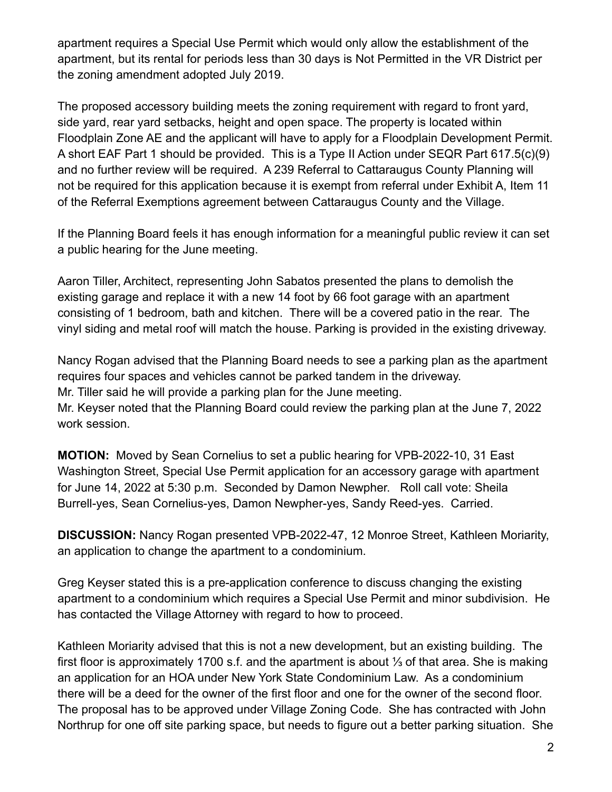apartment requires a Special Use Permit which would only allow the establishment of the apartment, but its rental for periods less than 30 days is Not Permitted in the VR District per the zoning amendment adopted July 2019.

The proposed accessory building meets the zoning requirement with regard to front yard, side yard, rear yard setbacks, height and open space. The property is located within Floodplain Zone AE and the applicant will have to apply for a Floodplain Development Permit. A short EAF Part 1 should be provided. This is a Type II Action under SEQR Part 617.5(c)(9) and no further review will be required. A 239 Referral to Cattaraugus County Planning will not be required for this application because it is exempt from referral under Exhibit A, Item 11 of the Referral Exemptions agreement between Cattaraugus County and the Village.

If the Planning Board feels it has enough information for a meaningful public review it can set a public hearing for the June meeting.

Aaron Tiller, Architect, representing John Sabatos presented the plans to demolish the existing garage and replace it with a new 14 foot by 66 foot garage with an apartment consisting of 1 bedroom, bath and kitchen. There will be a covered patio in the rear. The vinyl siding and metal roof will match the house. Parking is provided in the existing driveway.

Nancy Rogan advised that the Planning Board needs to see a parking plan as the apartment requires four spaces and vehicles cannot be parked tandem in the driveway. Mr. Tiller said he will provide a parking plan for the June meeting.

Mr. Keyser noted that the Planning Board could review the parking plan at the June 7, 2022 work session.

**MOTION:** Moved by Sean Cornelius to set a public hearing for VPB-2022-10, 31 East Washington Street, Special Use Permit application for an accessory garage with apartment for June 14, 2022 at 5:30 p.m. Seconded by Damon Newpher. Roll call vote: Sheila Burrell-yes, Sean Cornelius-yes, Damon Newpher-yes, Sandy Reed-yes. Carried.

**DISCUSSION:** Nancy Rogan presented VPB-2022-47, 12 Monroe Street, Kathleen Moriarity, an application to change the apartment to a condominium.

Greg Keyser stated this is a pre-application conference to discuss changing the existing apartment to a condominium which requires a Special Use Permit and minor subdivision. He has contacted the Village Attorney with regard to how to proceed.

Kathleen Moriarity advised that this is not a new development, but an existing building. The first floor is approximately 1700 s.f. and the apartment is about ⅓ of that area. She is making an application for an HOA under New York State Condominium Law. As a condominium there will be a deed for the owner of the first floor and one for the owner of the second floor. The proposal has to be approved under Village Zoning Code. She has contracted with John Northrup for one off site parking space, but needs to figure out a better parking situation. She